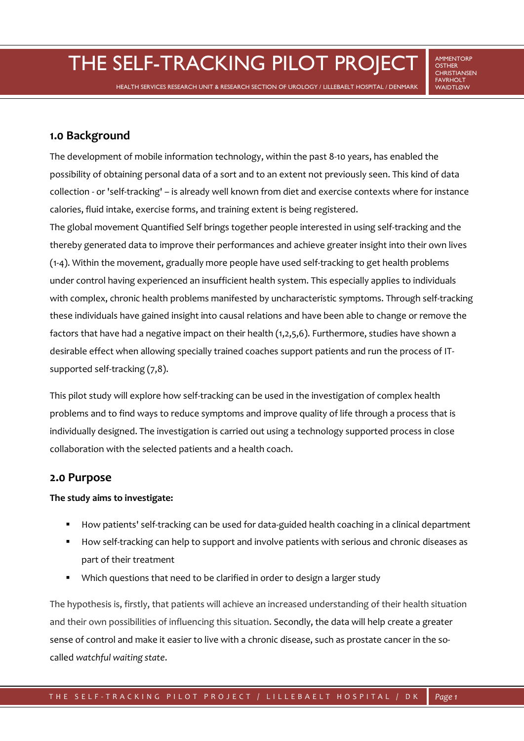THE SELF-TRACKING PILOT PROJECT AMMENTORE

**OSTHER** CHRISTIANSEN FAVRHOLT<br>WAIDTLØW

HEALTH SERVICES RESEARCH UNIT & RESEARCH SECTION OF UROLOGY / LILLEBAELT HOSPITAL / DENMARK

# **1.0 Background**

The development of mobile information technology, within the past 8-10 years, has enabled the possibility of obtaining personal data of a sort and to an extent not previously seen. This kind of data collection - or 'self-tracking' – is already well known from diet and exercise contexts where for instance calories, fluid intake, exercise forms, and training extent is being registered.

The global movement Quantified Self brings together people interested in using self-tracking and the thereby generated data to improve their performances and achieve greater insight into their own lives (1-4). Within the movement, gradually more people have used self-tracking to get health problems under control having experienced an insufficient health system. This especially applies to individuals with complex, chronic health problems manifested by uncharacteristic symptoms. Through self-tracking these individuals have gained insight into causal relations and have been able to change or remove the factors that have had a negative impact on their health (1,2,5,6). Furthermore, studies have shown a desirable effect when allowing specially trained coaches support patients and run the process of ITsupported self-tracking (7,8).

This pilot study will explore how self-tracking can be used in the investigation of complex health problems and to find ways to reduce symptoms and improve quality of life through a process that is individually designed. The investigation is carried out using a technology supported process in close collaboration with the selected patients and a health coach.

# **2.0 Purpose**

## **The study aims to investigate:**

- How patients' self-tracking can be used for data-guided health coaching in a clinical department
- How self-tracking can help to support and involve patients with serious and chronic diseases as part of their treatment
- Which questions that need to be clarified in order to design a larger study

The hypothesis is, firstly, that patients will achieve an increased understanding of their health situation and their own possibilities of influencing this situation. Secondly, the data will help create a greater sense of control and make it easier to live with a chronic disease, such as prostate cancer in the socalled *watchful waiting state*.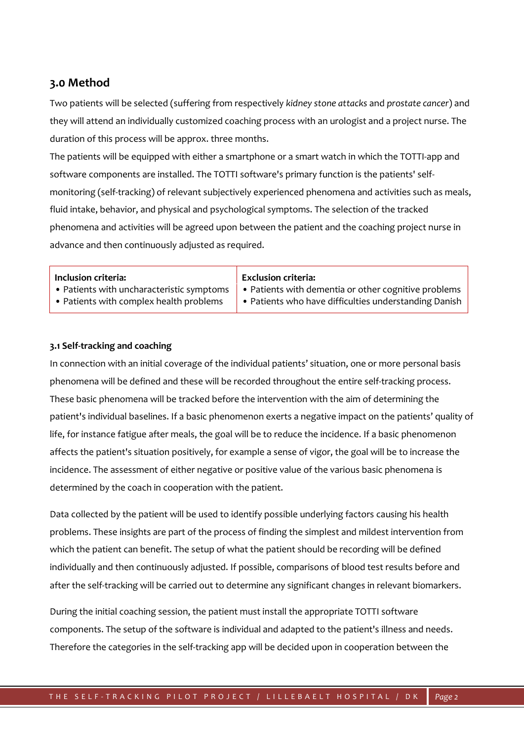# **3.0 Method**

Two patients will be selected (suffering from respectively *kidney stone attacks* and *prostate cancer*) and they will attend an individually customized coaching process with an urologist and a project nurse. The duration of this process will be approx. three months.

The patients will be equipped with either a smartphone or a smart watch in which the TOTTI-app and software components are installed. The TOTTI software's primary function is the patients' selfmonitoring (self-tracking) of relevant subjectively experienced phenomena and activities such as meals, fluid intake, behavior, and physical and psychological symptoms. The selection of the tracked phenomena and activities will be agreed upon between the patient and the coaching project nurse in advance and then continuously adjusted as required.

### **Inclusion criteria: Exclusion criteria:**

- Patients with uncharacteristic symptoms
- Patients with complex health problems

• Patients with dementia or other cognitive problems

• Patients who have difficulties understanding Danish

#### **3.1 Self-tracking and coaching**

In connection with an initial coverage of the individual patients' situation, one or more personal basis phenomena will be defined and these will be recorded throughout the entire self-tracking process. These basic phenomena will be tracked before the intervention with the aim of determining the patient's individual baselines. If a basic phenomenon exerts a negative impact on the patients' quality of life, for instance fatigue after meals, the goal will be to reduce the incidence. If a basic phenomenon affects the patient's situation positively, for example a sense of vigor, the goal will be to increase the incidence. The assessment of either negative or positive value of the various basic phenomena is determined by the coach in cooperation with the patient.

Data collected by the patient will be used to identify possible underlying factors causing his health problems. These insights are part of the process of finding the simplest and mildest intervention from which the patient can benefit. The setup of what the patient should be recording will be defined individually and then continuously adjusted. If possible, comparisons of blood test results before and after the self-tracking will be carried out to determine any significant changes in relevant biomarkers.

During the initial coaching session, the patient must install the appropriate TOTTI software components. The setup of the software is individual and adapted to the patient's illness and needs. Therefore the categories in the self-tracking app will be decided upon in cooperation between the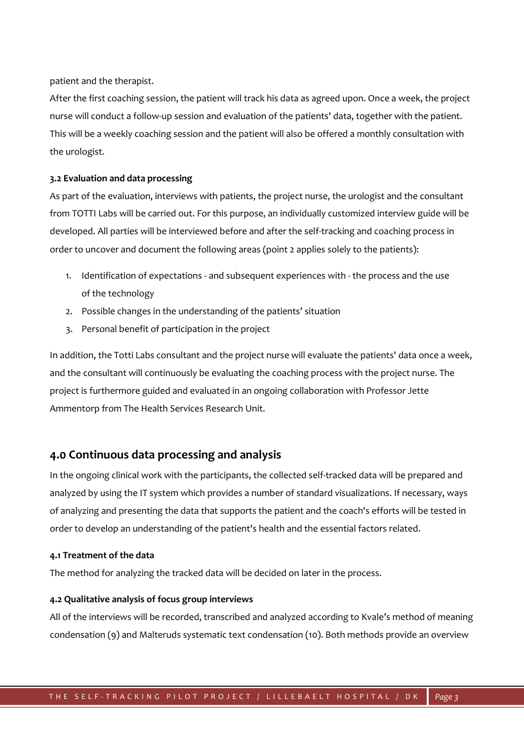patient and the therapist.

After the first coaching session, the patient will track his data as agreed upon. Once a week, the project nurse will conduct a follow-up session and evaluation of the patients' data, together with the patient. This will be a weekly coaching session and the patient will also be offered a monthly consultation with the urologist.

#### **3.2 Evaluation and data processing**

As part of the evaluation, interviews with patients, the project nurse, the urologist and the consultant from TOTTI Labs will be carried out. For this purpose, an individually customized interview guide will be developed. All parties will be interviewed before and after the self-tracking and coaching process in order to uncover and document the following areas (point 2 applies solely to the patients):

- 1. Identification of expectations and subsequent experiences with the process and the use of the technology
- 2. Possible changes in the understanding of the patients' situation
- 3. Personal benefit of participation in the project

In addition, the Totti Labs consultant and the project nurse will evaluate the patients' data once a week, and the consultant will continuously be evaluating the coaching process with the project nurse. The project is furthermore guided and evaluated in an ongoing collaboration with Professor Jette Ammentorp from The Health Services Research Unit.

## **4.0 Continuous data processing and analysis**

In the ongoing clinical work with the participants, the collected self-tracked data will be prepared and analyzed by using the IT system which provides a number of standard visualizations. If necessary, ways of analyzing and presenting the data that supports the patient and the coach's efforts will be tested in order to develop an understanding of the patient's health and the essential factors related.

#### **4.1 Treatment of the data**

The method for analyzing the tracked data will be decided on later in the process.

#### **4.2 Qualitative analysis of focus group interviews**

All of the interviews will be recorded, transcribed and analyzed according to Kvale's method of meaning condensation (9) and Malteruds systematic text condensation (10). Both methods provide an overview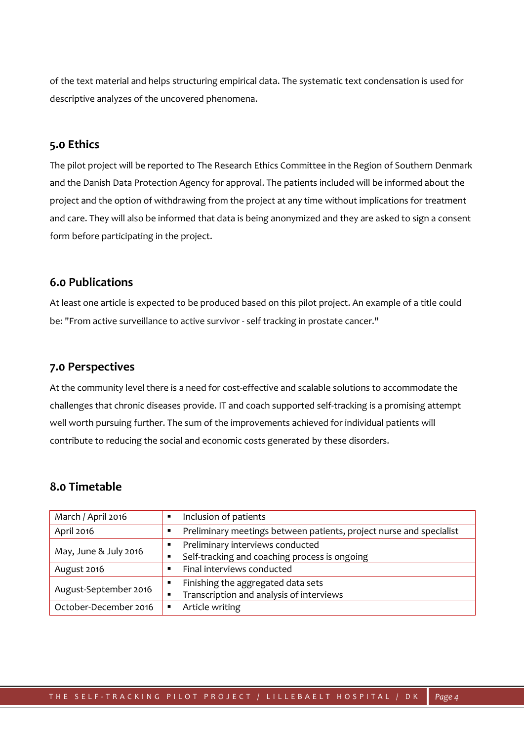of the text material and helps structuring empirical data. The systematic text condensation is used for descriptive analyzes of the uncovered phenomena.

# **5.0 Ethics**

The pilot project will be reported to The Research Ethics Committee in the Region of Southern Denmark and the Danish Data Protection Agency for approval. The patients included will be informed about the project and the option of withdrawing from the project at any time without implications for treatment and care. They will also be informed that data is being anonymized and they are asked to sign a consent form before participating in the project.

# **6.0 Publications**

At least one article is expected to be produced based on this pilot project. An example of a title could be: "From active surveillance to active survivor - self tracking in prostate cancer."

## **7.0 Perspectives**

At the community level there is a need for cost-effective and scalable solutions to accommodate the challenges that chronic diseases provide. IT and coach supported self-tracking is a promising attempt well worth pursuing further. The sum of the improvements achieved for individual patients will contribute to reducing the social and economic costs generated by these disorders.

# **8.0 Timetable**

| March / April 2016    |                | Inclusion of patients                                               |
|-----------------------|----------------|---------------------------------------------------------------------|
| April 2016            |                | Preliminary meetings between patients, project nurse and specialist |
| May, June & July 2016 |                | Preliminary interviews conducted                                    |
|                       |                | Self-tracking and coaching process is ongoing                       |
| August 2016           |                | Final interviews conducted                                          |
| August-September 2016 | $\blacksquare$ | Finishing the aggregated data sets                                  |
|                       |                | Transcription and analysis of interviews                            |
| October-December 2016 |                | Article writing                                                     |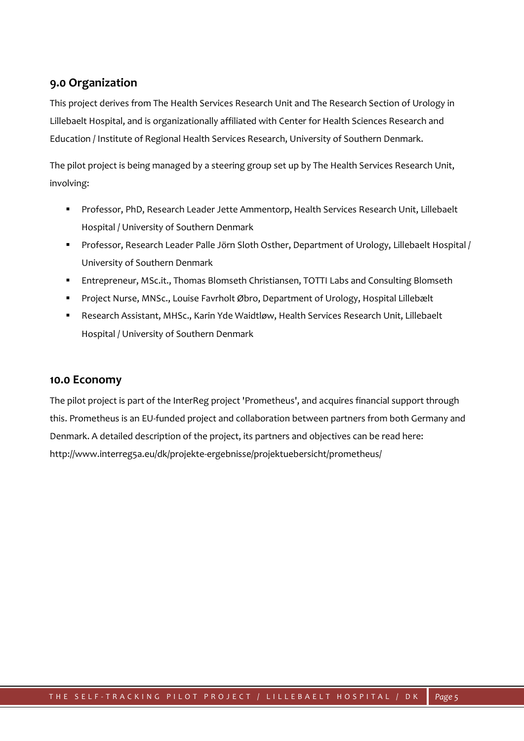# **9.0 Organization**

This project derives from The Health Services Research Unit and The Research Section of Urology in Lillebaelt Hospital, and is organizationally affiliated with Center for Health Sciences Research and Education / Institute of Regional Health Services Research, University of Southern Denmark.

The pilot project is being managed by a steering group set up by The Health Services Research Unit, involving:

- Professor, PhD, Research Leader Jette Ammentorp, Health Services Research Unit, Lillebaelt Hospital / University of Southern Denmark
- Professor, Research Leader Palle Jörn Sloth Osther, Department of Urology, Lillebaelt Hospital / University of Southern Denmark
- Entrepreneur, MSc.it., Thomas Blomseth Christiansen, TOTTI Labs and Consulting Blomseth
- Project Nurse, MNSc., Louise Favrholt Øbro, Department of Urology, Hospital Lillebælt
- Research Assistant, MHSc., Karin Yde Waidtløw, Health Services Research Unit, Lillebaelt Hospital / University of Southern Denmark

# **10.0 Economy**

The pilot project is part of the InterReg project 'Prometheus', and acquires financial support through this. Prometheus is an EU-funded project and collaboration between partners from both Germany and Denmark. A detailed description of the project, its partners and objectives can be read here: http://www.interreg5a.eu/dk/projekte-ergebnisse/projektuebersicht/prometheus/